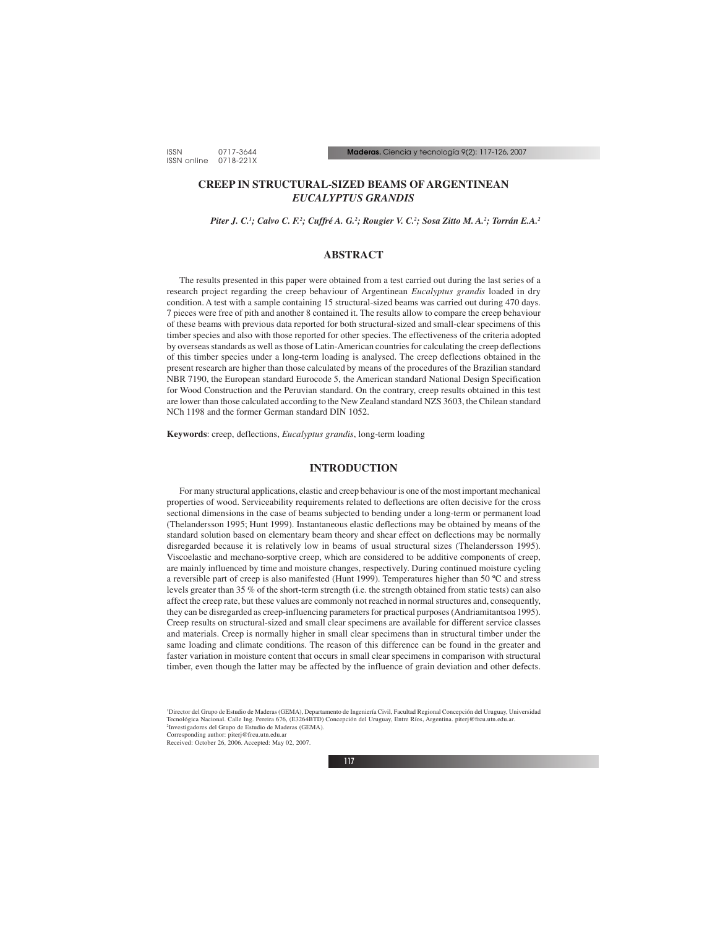# **CREEP IN STRUCTURAL-SIZED BEAMS OF ARGENTINEAN** *EUCALYPTUS GRANDIS*

*Piter J. C.1 ; Calvo C. F.2 ; Cuffré A. G.2 ; Rougier V. C.2 ; Sosa Zitto M. A.2 ; Torrán E.A.2*

## **ABSTRACT**

The results presented in this paper were obtained from a test carried out during the last series of a research project regarding the creep behaviour of Argentinean *Eucalyptus grandis* loaded in dry condition. A test with a sample containing 15 structural-sized beams was carried out during 470 days. 7 pieces were free of pith and another 8 contained it. The results allow to compare the creep behaviour of these beams with previous data reported for both structural-sized and small-clear specimens of this timber species and also with those reported for other species. The effectiveness of the criteria adopted by overseas standards as well as those of Latin-American countries for calculating the creep deflections of this timber species under a long-term loading is analysed. The creep deflections obtained in the present research are higher than those calculated by means of the procedures of the Brazilian standard NBR 7190, the European standard Eurocode 5, the American standard National Design Specification for Wood Construction and the Peruvian standard. On the contrary, creep results obtained in this test are lower than those calculated according to the New Zealand standard NZS 3603, the Chilean standard NCh 1198 and the former German standard DIN 1052.

**Keywords**: creep, deflections, *Eucalyptus grandis*, long-term loading

## **INTRODUCTION**

For many structural applications, elastic and creep behaviour is one of the most important mechanical properties of wood. Serviceability requirements related to deflections are often decisive for the cross sectional dimensions in the case of beams subjected to bending under a long-term or permanent load (Thelandersson 1995; Hunt 1999). Instantaneous elastic deflections may be obtained by means of the standard solution based on elementary beam theory and shear effect on deflections may be normally disregarded because it is relatively low in beams of usual structural sizes (Thelandersson 1995). Viscoelastic and mechano-sorptive creep, which are considered to be additive components of creep, are mainly influenced by time and moisture changes, respectively. During continued moisture cycling a reversible part of creep is also manifested (Hunt 1999). Temperatures higher than 50 ºC and stress levels greater than 35 % of the short-term strength (i.e. the strength obtained from static tests) can also affect the creep rate, but these values are commonly not reached in normal structures and, consequently, they can be disregarded as creep-influencing parameters for practical purposes (Andriamitantsoa 1995). Creep results on structural-sized and small clear specimens are available for different service classes and materials. Creep is normally higher in small clear specimens than in structural timber under the same loading and climate conditions. The reason of this difference can be found in the greater and faster variation in moisture content that occurs in small clear specimens in comparison with structural timber, even though the latter may be affected by the influence of grain deviation and other defects.

Corresponding author: piterj@frcu.utn.edu.ar

<sup>1</sup> Director del Grupo de Estudio de Maderas (GEMA), Departamento de Ingeniería Civil, Facultad Regional Concepción del Uruguay, Universidad Tecnológica Nacional. Calle Ing. Pereira 676, (E3264BTD) Concepción del Uruguay, Entre Ríos, Argentina. piterj@frcu.utn.edu.ar. 2 Investigadores del Grupo de Estudio de Maderas (GEMA).

Received: October 26, 2006. Accepted: May 02, 2007.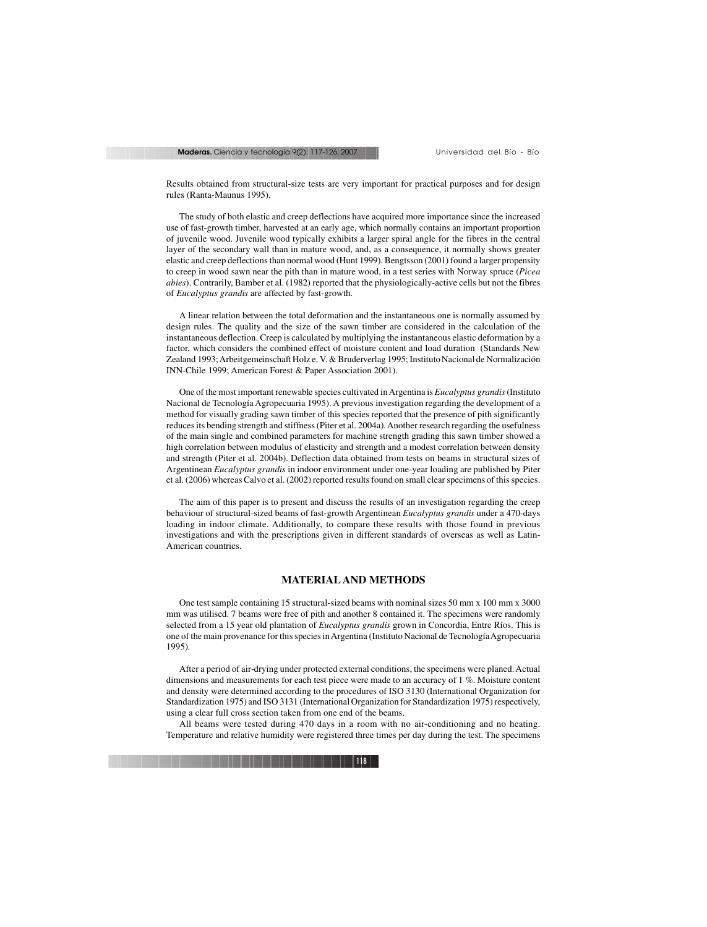Results obtained from structural-size tests are very important for practical purposes and for design rules (Ranta-Maunus 1995).

The study of both elastic and creep deflections have acquired more importance since the increased use of fast-growth timber, harvested at an early age, which normally contains an important proportion of juvenile wood. Juvenile wood typically exhibits a larger spiral angle for the fibres in the central layer of the secondary wall than in mature wood, and, as a consequence, it normally shows greater elastic and creep deflections than normal wood (Hunt 1999). Bengtsson (2001) found a larger propensity to creep in wood sawn near the pith than in mature wood, in a test series with Norway spruce (*Picea abies*). Contrarily, Bamber et al. (1982) reported that the physiologically-active cells but not the fibres of *Eucalyptus grandis* are affected by fast-growth.

A linear relation between the total deformation and the instantaneous one is normally assumed by design rules. The quality and the size of the sawn timber are considered in the calculation of the instantaneous deflection. Creep is calculated by multiplying the instantaneous elastic deformation by a factor, which considers the combined effect of moisture content and load duration (Standards New Zealand 1993; Arbeitgemeinschaft Holz e. V. & Bruderverlag 1995; Instituto Nacional de Normalización INN-Chile 1999; American Forest & Paper Association 2001).

One of the most important renewable species cultivated in Argentina is *Eucalyptus grandis* (Instituto Nacional de Tecnología Agropecuaria 1995). A previous investigation regarding the development of a method for visually grading sawn timber of this species reported that the presence of pith significantly reduces its bending strength and stiffness (Piter et al. 2004a). Another research regarding the usefulness of the main single and combined parameters for machine strength grading this sawn timber showed a high correlation between modulus of elasticity and strength and a modest correlation between density and strength (Piter et al. 2004b). Deflection data obtained from tests on beams in structural sizes of Argentinean *Eucalyptus grandis* in indoor environment under one-year loading are published by Piter et al. (2006) whereas Calvo et al. (2002) reported results found on small clear specimens of this species.

The aim of this paper is to present and discuss the results of an investigation regarding the creep behaviour of structural-sized beams of fast-growth Argentinean *Eucalyptus grandis* under a 470-days loading in indoor climate. Additionally, to compare these results with those found in previous investigations and with the prescriptions given in different standards of overseas as well as Latin-American countries.

### **MATERIAL AND METHODS**

One test sample containing 15 structural-sized beams with nominal sizes 50 mm x 100 mm x 3000 mm was utilised. 7 beams were free of pith and another 8 contained it. The specimens were randomly selected from a 15 year old plantation of *Eucalyptus grandis* grown in Concordia, Entre Ríos. This is one of the main provenance for this species in Argentina (Instituto Nacional de Tecnología Agropecuaria 1995).

After a period of air-drying under protected external conditions, the specimens were planed. Actual dimensions and measurements for each test piece were made to an accuracy of 1 %. Moisture content and density were determined according to the procedures of ISO 3130 (International Organization for Standardization 1975) and ISO 3131 (International Organization for Standardization 1975) respectively, using a clear full cross section taken from one end of the beams.

All beams were tested during 470 days in a room with no air-conditioning and no heating. Temperature and relative humidity were registered three times per day during the test. The specimens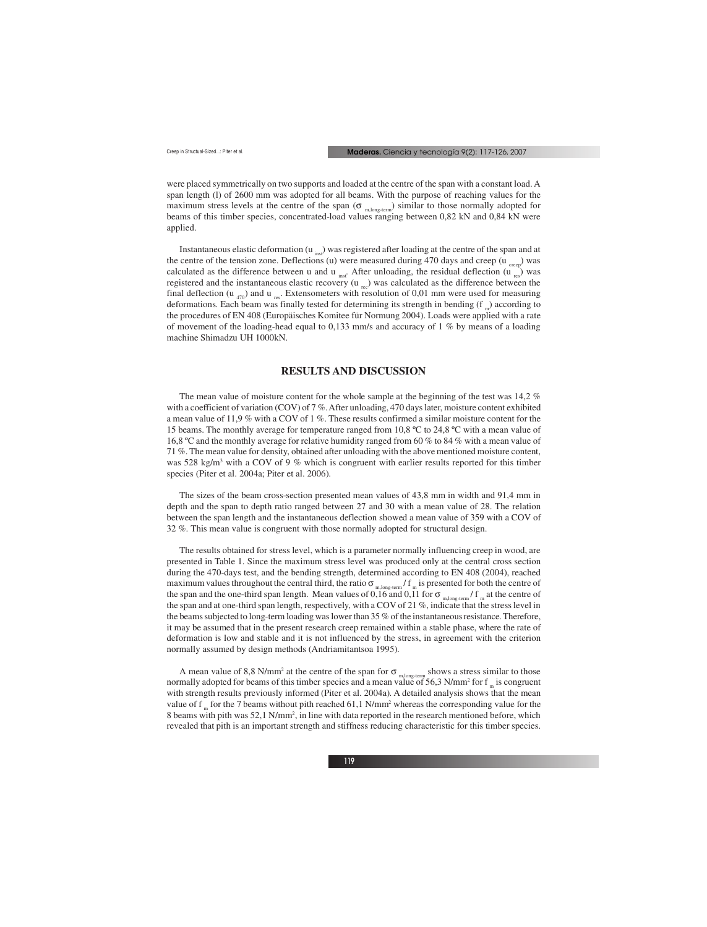were placed symmetrically on two supports and loaded at the centre of the span with a constant load. A span length (l) of 2600 mm was adopted for all beams. With the purpose of reaching values for the maximum stress levels at the centre of the span ( $\sigma_{m,long-term}$ ) similar to those normally adopted for beams of this timber species, concentrated-load values ranging between 0,82 kN and 0,84 kN were applied.

Instantaneous elastic deformation  $(u_{inc})$  was registered after loading at the centre of the span and at the centre of the tension zone. Deflections (u) were measured during 470 days and creep ( $u_{\text{green}}$ ) was calculated as the difference between u and u  $_{inst}$ . After unloading, the residual deflection (u  $_{res}$ ) was registered and the instantaneous elastic recovery  $(u_{nc})$  was calculated as the difference between the final deflection (u  $_{470}$ ) and u  $_{res}$ . Extensometers with resolution of 0,01 mm were used for measuring deformations. Each beam was finally tested for determining its strength in bending (f<sub>m</sub>) according to the procedures of EN 408 (Europäisches Komitee für Normung 2004). Loads were applied with a rate of movement of the loading-head equal to 0,133 mm/s and accuracy of 1 % by means of a loading machine Shimadzu UH 1000kN.

### **RESULTS AND DISCUSSION**

The mean value of moisture content for the whole sample at the beginning of the test was 14,2 % with a coefficient of variation (COV) of 7 %. After unloading, 470 days later, moisture content exhibited a mean value of 11,9 % with a COV of 1 %. These results confirmed a similar moisture content for the 15 beams. The monthly average for temperature ranged from 10,8 ºC to 24,8 ºC with a mean value of 16,8 ºC and the monthly average for relative humidity ranged from 60 % to 84 % with a mean value of 71 %. The mean value for density, obtained after unloading with the above mentioned moisture content, was 528 kg/m<sup>3</sup> with a COV of 9 % which is congruent with earlier results reported for this timber species (Piter et al. 2004a; Piter et al. 2006).

The sizes of the beam cross-section presented mean values of 43,8 mm in width and 91,4 mm in depth and the span to depth ratio ranged between 27 and 30 with a mean value of 28. The relation between the span length and the instantaneous deflection showed a mean value of 359 with a COV of 32 %. This mean value is congruent with those normally adopted for structural design.

The results obtained for stress level, which is a parameter normally influencing creep in wood, are presented in Table 1. Since the maximum stress level was produced only at the central cross section during the 470-days test, and the bending strength, determined according to EN 408 (2004), reached maximum values throughout the central third, the ratio  $\sigma_{m,long-term}$  / f  $_m$  is presented for both the centre of the span and the one-third span length. Mean values of 0,16 and 0,11 for  $\sigma_{m,long-term}$  f  $_{m}$  at the centre of the span and at one-third span length, respectively, with a COV of 21 %, indicate that the stress level in the beams subjected to long-term loading was lower than 35 % of the instantaneous resistance. Therefore, it may be assumed that in the present research creep remained within a stable phase, where the rate of deformation is low and stable and it is not influenced by the stress, in agreement with the criterion normally assumed by design methods (Andriamitantsoa 1995).

A mean value of 8,8 N/mm<sup>2</sup> at the centre of the span for  $\sigma_{m, \text{long-term}}$  shows a stress similar to those normally adopted for beams of this timber species and a mean value of 56,3 N/mm<sup>2</sup> for f  $_{\rm m}$  is congruent with strength results previously informed (Piter et al. 2004a). A detailed analysis shows that the mean value of f<sub>m</sub> for the 7 beams without pith reached 61,1 N/mm<sup>2</sup> whereas the corresponding value for the 8 beams with pith was 52,1 N/mm2 , in line with data reported in the research mentioned before, which revealed that pith is an important strength and stiffness reducing characteristic for this timber species.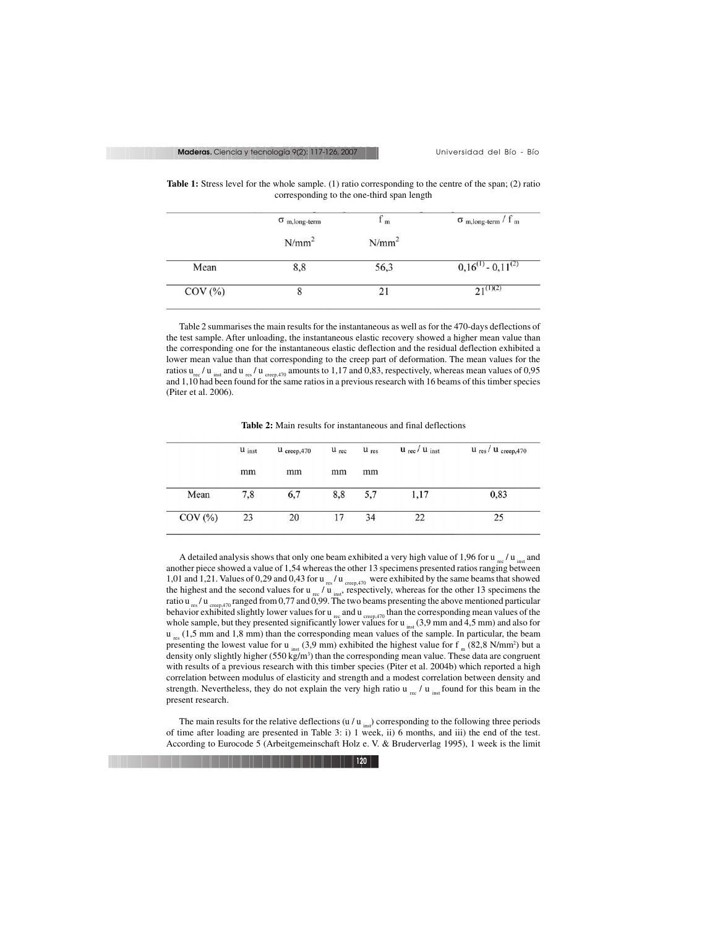|                    | $\sigma$ <sub>m,long-term</sub> | 1 <sub>m</sub> | $\sigma$ <sub>m,long-term</sub> / f <sub>m</sub> |
|--------------------|---------------------------------|----------------|--------------------------------------------------|
|                    | $N/mm^2$                        | $N/mm^2$       |                                                  |
| Mean               | 8,8                             | 56,3           | $0,16^{(1)} - 0,11^{(2)}$                        |
| $\mathrm{COV}$ (%) |                                 | 21             | $21^{(1)(2)}$                                    |

**Table 1:** Stress level for the whole sample. (1) ratio corresponding to the centre of the span; (2) ratio corresponding to the one-third span length

Table 2 summarises the main results for the instantaneous as well as for the 470-days deflections of the test sample. After unloading, the instantaneous elastic recovery showed a higher mean value than the corresponding one for the instantaneous elastic deflection and the residual deflection exhibited a lower mean value than that corresponding to the creep part of deformation. The mean values for the ratios  $u_{\text{rec}}/u_{\text{inst}}$  and  $u_{\text{res}}/u_{\text{creep,470}}$  amounts to 1,17 and 0,83, respectively, whereas mean values of 0,95 and 1,10 had been found for the same ratios in a previous research with 16 beams of this timber species (Piter et al. 2006).

|           | $u$ inst | $u_{\text{creep,}470}$ | $u_{rec}$ | $u_{res}$ | $u_{\text{rec}}/u_{\text{inst}}$ | $u$ <sub>res</sub> / $u$ <sub>creep</sub> , 470 |
|-----------|----------|------------------------|-----------|-----------|----------------------------------|-------------------------------------------------|
|           | mm       | mm                     | mm        | mm        |                                  |                                                 |
| Mean      | 7,8      | 6,7                    | 8,8       | 5,7       | 1,17                             | 0,83                                            |
| $COV$ $%$ | 23       | 20                     | 17        | 34        | 22                               | 25                                              |

**Table 2:** Main results for instantaneous and final deflections

A detailed analysis shows that only one beam exhibited a very high value of 1,96 for  $u_{\text{rec}}/u_{\text{inst}}$  and another piece showed a value of 1,54 whereas the other 13 specimens presented ratios ranging between 1,01 and 1,21. Values of 0,29 and 0,43 for u  $_{res}$  / u  $_{crec, 470}$  were exhibited by the same beams that showed the highest and the second values for u<sub>rec</sub> / u  $_{inst}$ , respectively, whereas for the other 13 specimens the ratio u<sub>res</sub> / u creep,470 ranged from 0,77 and 0,99. The two beams presenting the above mentioned particular behavior exhibited slightly lower values for u <sub>rec</sub> and u creep 470 than the corresponding mean values of the whole sample, but they presented significantly lower values for  $u_{inst}$  (3,9 mm and 4,5 mm) and also for  $u_{\text{rec}}$  (1,5 mm and 1,8 mm) than the corresponding mean values of the sample. In particular, the beam presenting the lowest value for u<sub>inst</sub> (3,9 mm) exhibited the highest value for f<sub>m</sub> (82,8 N/mm<sup>2</sup>) but a density only slightly higher  $(550 \text{ kg/m}^3)$  than the corresponding mean value. These data are congruent with results of a previous research with this timber species (Piter et al. 2004b) which reported a high correlation between modulus of elasticity and strength and a modest correlation between density and strength. Nevertheless, they do not explain the very high ratio u  $\mu$  / u  $_{\text{inst}}$  found for this beam in the present research.

The main results for the relative deflections (u / u  $_{\text{ins}}$ ) corresponding to the following three periods of time after loading are presented in Table 3: i) 1 week, ii) 6 months, and iii) the end of the test. According to Eurocode 5 (Arbeitgemeinschaft Holz e. V. & Bruderverlag 1995), 1 week is the limit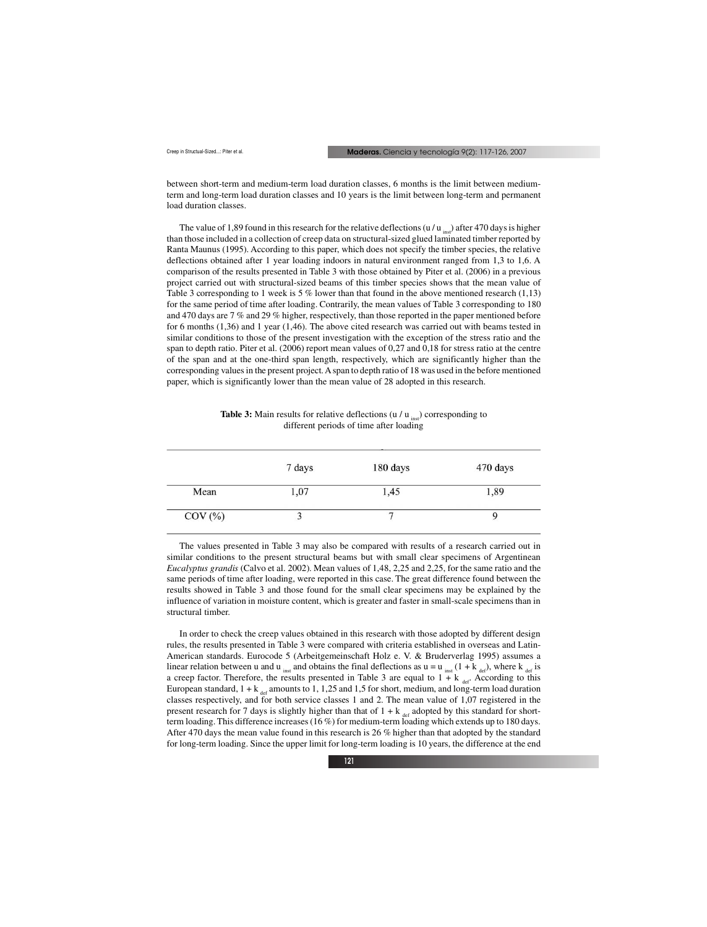between short-term and medium-term load duration classes, 6 months is the limit between mediumterm and long-term load duration classes and 10 years is the limit between long-term and permanent load duration classes.

The value of 1,89 found in this research for the relative deflections (u / u  $_{\text{inst}}$ ) after 470 days is higher than those included in a collection of creep data on structural-sized glued laminated timber reported by Ranta Maunus (1995). According to this paper, which does not specify the timber species, the relative deflections obtained after 1 year loading indoors in natural environment ranged from 1,3 to 1,6. A comparison of the results presented in Table 3 with those obtained by Piter et al. (2006) in a previous project carried out with structural-sized beams of this timber species shows that the mean value of Table 3 corresponding to 1 week is 5 % lower than that found in the above mentioned research  $(1,13)$ for the same period of time after loading. Contrarily, the mean values of Table 3 corresponding to 180 and 470 days are 7 % and 29 % higher, respectively, than those reported in the paper mentioned before for 6 months (1,36) and 1 year (1,46). The above cited research was carried out with beams tested in similar conditions to those of the present investigation with the exception of the stress ratio and the span to depth ratio. Piter et al. (2006) report mean values of 0,27 and 0,18 for stress ratio at the centre of the span and at the one-third span length, respectively, which are significantly higher than the corresponding values in the present project. A span to depth ratio of 18 was used in the before mentioned paper, which is significantly lower than the mean value of 28 adopted in this research.

| <b>Table 3:</b> Main results for relative deflections ( $u / u_{\text{inst}}$ ) corresponding to |
|--------------------------------------------------------------------------------------------------|
| different periods of time after loading                                                          |

|           | 7 days | 180 days | 470 days |
|-----------|--------|----------|----------|
| Mean      | 1,07   | 1,45     | 1,89     |
| $COV$ $%$ |        |          |          |

The values presented in Table 3 may also be compared with results of a research carried out in similar conditions to the present structural beams but with small clear specimens of Argentinean *Eucalyptus grandis* (Calvo et al. 2002). Mean values of 1,48, 2,25 and 2,25, for the same ratio and the same periods of time after loading, were reported in this case. The great difference found between the results showed in Table 3 and those found for the small clear specimens may be explained by the influence of variation in moisture content, which is greater and faster in small-scale specimens than in structural timber.

In order to check the creep values obtained in this research with those adopted by different design rules, the results presented in Table 3 were compared with criteria established in overseas and Latin-American standards. Eurocode 5 (Arbeitgemeinschaft Holz e. V. & Bruderverlag 1995) assumes a linear relation between u and u <sub>inst</sub> and obtains the final deflections as  $u = u_{inst} (1 + k_{def})$ , where k  $_{def}$  is a creep factor. Therefore, the results presented in Table 3 are equal to  $1 + k$  def. According to this European standard,  $1 + k$  definition to 1, 1,25 and 1,5 for short, medium, and long-term load duration classes respectively, and for both service classes 1 and 2. The mean value of 1,07 registered in the present research for 7 days is slightly higher than that of  $1 + k$  defined by this standard for shortterm loading. This difference increases (16 %) for medium-term loading which extends up to 180 days. After 470 days the mean value found in this research is 26 % higher than that adopted by the standard for long-term loading. Since the upper limit for long-term loading is 10 years, the difference at the end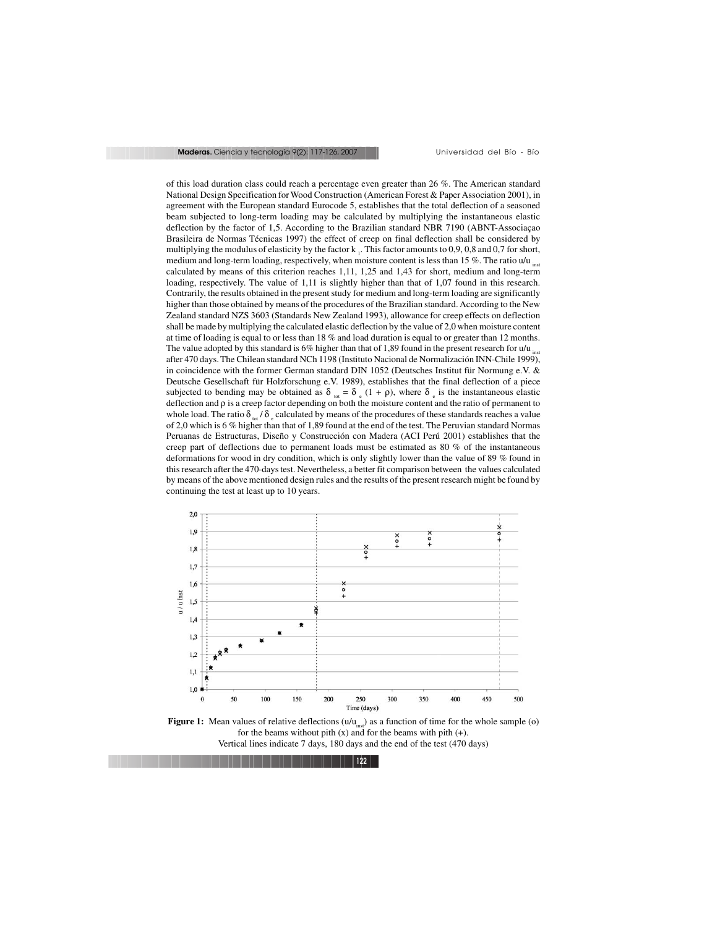of this load duration class could reach a percentage even greater than 26 %. The American standard National Design Specification for Wood Construction (American Forest & Paper Association 2001), in agreement with the European standard Eurocode 5, establishes that the total deflection of a seasoned beam subjected to long-term loading may be calculated by multiplying the instantaneous elastic deflection by the factor of 1,5. According to the Brazilian standard NBR 7190 (ABNT-Associaçao Brasileira de Normas Técnicas 1997) the effect of creep on final deflection shall be considered by multiplying the modulus of elasticity by the factor  $k_1$ . This factor amounts to 0,9, 0,8 and 0,7 for short, medium and long-term loading, respectively, when moisture content is less than 15 %. The ratio  $u/u_{\text{inst}}$ calculated by means of this criterion reaches 1,11, 1,25 and 1,43 for short, medium and long-term loading, respectively. The value of 1,11 is slightly higher than that of 1,07 found in this research. Contrarily, the results obtained in the present study for medium and long-term loading are significantly higher than those obtained by means of the procedures of the Brazilian standard. According to the New Zealand standard NZS 3603 (Standards New Zealand 1993), allowance for creep effects on deflection shall be made by multiplying the calculated elastic deflection by the value of 2,0 when moisture content at time of loading is equal to or less than 18 % and load duration is equal to or greater than 12 months. The value adopted by this standard is 6% higher than that of 1,89 found in the present research for  $u/u_{\text{inst}}$ after 470 days. The Chilean standard NCh 1198 (Instituto Nacional de Normalización INN-Chile 1999), in coincidence with the former German standard DIN 1052 (Deutsches Institut für Normung e.V. & Deutsche Gesellschaft für Holzforschung e.V. 1989), establishes that the final deflection of a piece subjected to bending may be obtained as  $\delta_{tot} = \delta_{et} (1 + \rho)$ , where  $\delta_{et}$  is the instantaneous elastic deflection and ρ is a creep factor depending on both the moisture content and the ratio of permanent to whole load. The ratio  $\delta_{tot}/\delta_{e}$  calculated by means of the procedures of these standards reaches a value of 2,0 which is 6 % higher than that of 1,89 found at the end of the test. The Peruvian standard Normas Peruanas de Estructuras, Diseño y Construcción con Madera (ACI Perú 2001) establishes that the creep part of deflections due to permanent loads must be estimated as 80 % of the instantaneous deformations for wood in dry condition, which is only slightly lower than the value of 89 % found in this research after the 470-days test. Nevertheless, a better fit comparison between the values calculated by means of the above mentioned design rules and the results of the present research might be found by continuing the test at least up to 10 years.



**Figure 1:** Mean values of relative deflections  $(u/u_{ins})$  as a function of time for the whole sample (o) for the beams without pith  $(x)$  and for the beams with pith  $(+)$ . Vertical lines indicate 7 days, 180 days and the end of the test (470 days)

**122**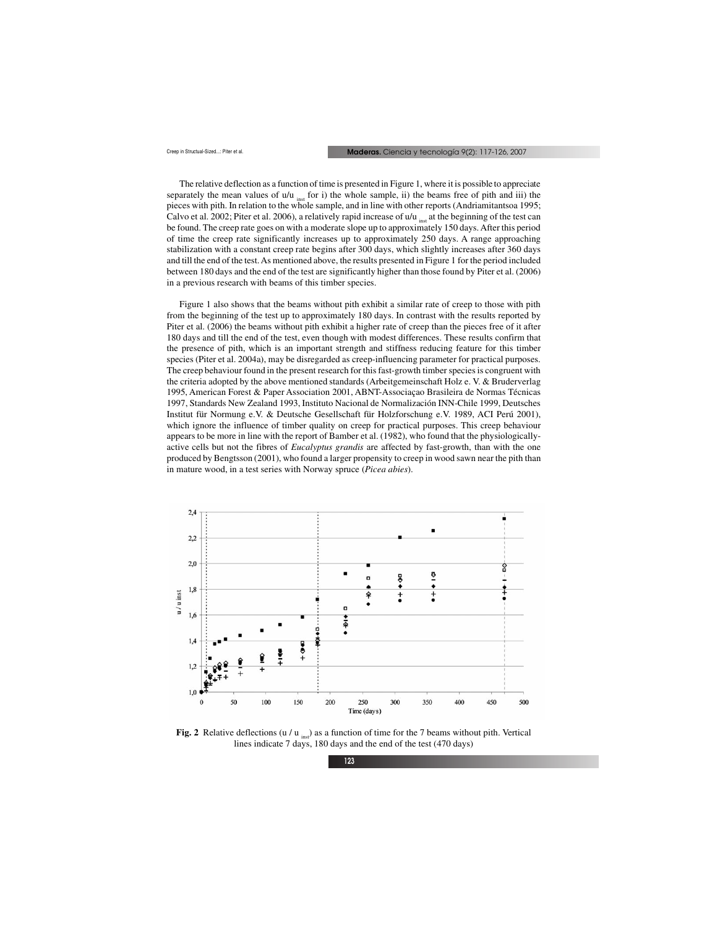The relative deflection as a function of time is presented in Figure 1, where it is possible to appreciate separately the mean values of  $u/u$  inst for i) the whole sample, ii) the beams free of pith and iii) the pieces with pith. In relation to the whole sample, and in line with other reports (Andriamitantsoa 1995; Calvo et al. 2002; Piter et al. 2006), a relatively rapid increase of  $u/u$  <sub>inst</sub> at the beginning of the test can be found. The creep rate goes on with a moderate slope up to approximately 150 days. After this period of time the creep rate significantly increases up to approximately 250 days. A range approaching stabilization with a constant creep rate begins after 300 days, which slightly increases after 360 days and till the end of the test. As mentioned above, the results presented in Figure 1 for the period included between 180 days and the end of the test are significantly higher than those found by Piter et al. (2006) in a previous research with beams of this timber species.

Figure 1 also shows that the beams without pith exhibit a similar rate of creep to those with pith from the beginning of the test up to approximately 180 days. In contrast with the results reported by Piter et al. (2006) the beams without pith exhibit a higher rate of creep than the pieces free of it after 180 days and till the end of the test, even though with modest differences. These results confirm that the presence of pith, which is an important strength and stiffness reducing feature for this timber species (Piter et al. 2004a), may be disregarded as creep-influencing parameter for practical purposes. The creep behaviour found in the present research for this fast-growth timber species is congruent with the criteria adopted by the above mentioned standards (Arbeitgemeinschaft Holz e. V. & Bruderverlag 1995, American Forest & Paper Association 2001, ABNT-Associaçao Brasileira de Normas Técnicas 1997, Standards New Zealand 1993, Instituto Nacional de Normalización INN-Chile 1999, Deutsches Institut für Normung e.V. & Deutsche Gesellschaft für Holzforschung e.V. 1989, ACI Perú 2001), which ignore the influence of timber quality on creep for practical purposes. This creep behaviour appears to be more in line with the report of Bamber et al. (1982), who found that the physiologicallyactive cells but not the fibres of *Eucalyptus grandis* are affected by fast-growth, than with the one produced by Bengtsson (2001), who found a larger propensity to creep in wood sawn near the pith than in mature wood, in a test series with Norway spruce (*Picea abies*).



**Fig. 2** Relative deflections (u / u  $_{\text{ins}}$ ) as a function of time for the 7 beams without pith. Vertical lines indicate 7 days, 180 days and the end of the test (470 days)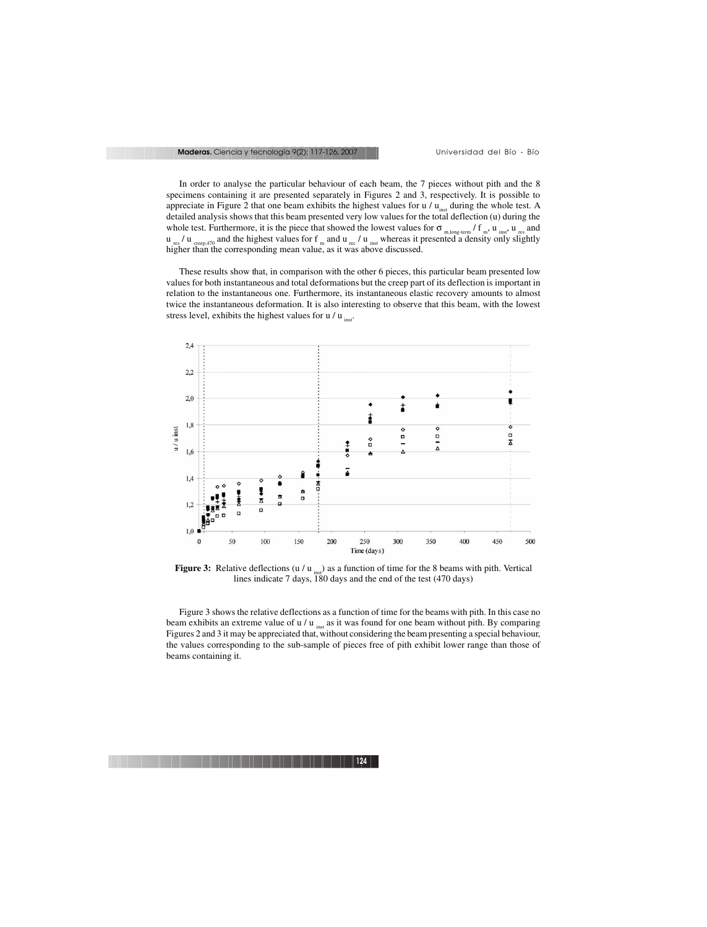In order to analyse the particular behaviour of each beam, the 7 pieces without pith and the 8 specimens containing it are presented separately in Figures 2 and 3, respectively. It is possible to appreciate in Figure 2 that one beam exhibits the highest values for  $u / u_{\text{inst}}$  during the whole test. A detailed analysis shows that this beam presented very low values for the total deflection (u) during the whole test. Furthermore, it is the piece that showed the lowest values for  $\sigma_{m, \text{long-term}}/f_{m}$ ,  $u_{\text{inst}}$ ,  $u_{\text{res}}$  and  $u_{res}$  /  $u_{crech,470}$  and the highest values for f  $_{\rm m}$  and  $u_{rec}$  /  $u_{inst}$  whereas it presented a density only slightly higher than the corresponding mean value, as it was above discussed.

These results show that, in comparison with the other 6 pieces, this particular beam presented low values for both instantaneous and total deformations but the creep part of its deflection is important in relation to the instantaneous one. Furthermore, its instantaneous elastic recovery amounts to almost twice the instantaneous deformation. It is also interesting to observe that this beam, with the lowest stress level, exhibits the highest values for  $u / u$  inst.



**Figure 3:** Relative deflections (u / u  $_{\text{inst}}$ ) as a function of time for the 8 beams with pith. Vertical lines indicate 7 days, 180 days and the end of the test (470 days)

Figure 3 shows the relative deflections as a function of time for the beams with pith. In this case no beam exhibits an extreme value of u / u  $_{\text{inst}}$  as it was found for one beam without pith. By comparing Figures 2 and 3 it may be appreciated that, without considering the beam presenting a special behaviour, the values corresponding to the sub-sample of pieces free of pith exhibit lower range than those of beams containing it.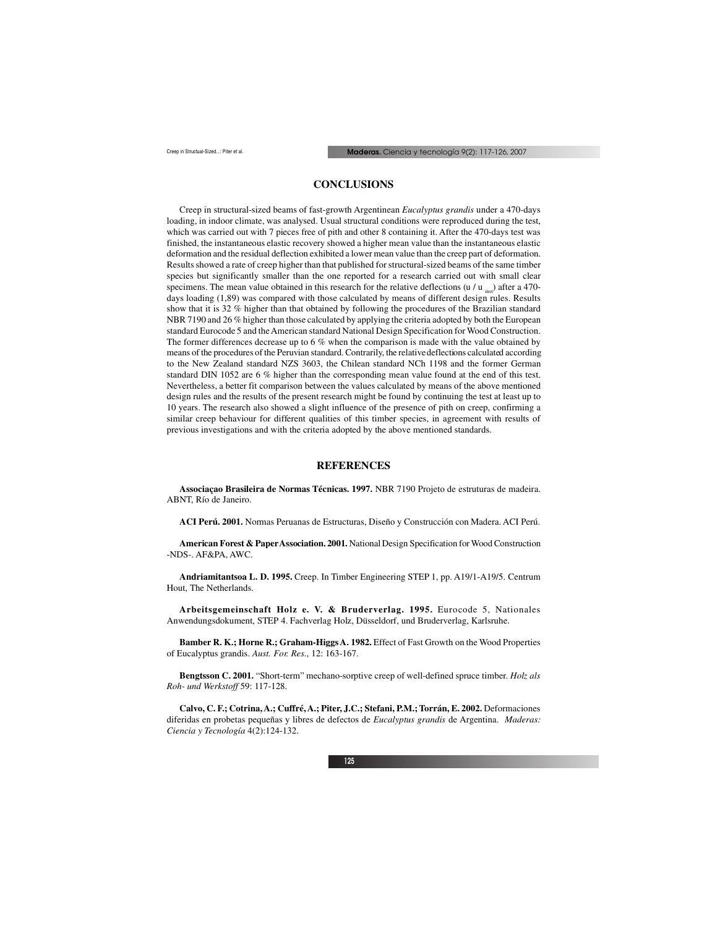# **CONCLUSIONS**

Creep in structural-sized beams of fast-growth Argentinean *Eucalyptus grandis* under a 470-days loading, in indoor climate, was analysed. Usual structural conditions were reproduced during the test, which was carried out with 7 pieces free of pith and other 8 containing it. After the 470-days test was finished, the instantaneous elastic recovery showed a higher mean value than the instantaneous elastic deformation and the residual deflection exhibited a lower mean value than the creep part of deformation. Results showed a rate of creep higher than that published for structural-sized beams of the same timber species but significantly smaller than the one reported for a research carried out with small clear specimens. The mean value obtained in this research for the relative deflections (u / u  $_{\text{in}}$ ) after a 470days loading (1,89) was compared with those calculated by means of different design rules. Results show that it is 32 % higher than that obtained by following the procedures of the Brazilian standard NBR 7190 and 26 % higher than those calculated by applying the criteria adopted by both the European standard Eurocode 5 and the American standard National Design Specification for Wood Construction. The former differences decrease up to 6 % when the comparison is made with the value obtained by means of the procedures of the Peruvian standard. Contrarily, the relative deflections calculated according to the New Zealand standard NZS 3603, the Chilean standard NCh 1198 and the former German standard DIN 1052 are 6 % higher than the corresponding mean value found at the end of this test. Nevertheless, a better fit comparison between the values calculated by means of the above mentioned design rules and the results of the present research might be found by continuing the test at least up to 10 years. The research also showed a slight influence of the presence of pith on creep, confirming a similar creep behaviour for different qualities of this timber species, in agreement with results of previous investigations and with the criteria adopted by the above mentioned standards.

### **REFERENCES**

**Associaçao Brasileira de Normas Técnicas. 1997.** NBR 7190 Projeto de estruturas de madeira. ABNT, Río de Janeiro.

**ACI Perú. 2001.** Normas Peruanas de Estructuras, Diseño y Construcción con Madera. ACI Perú.

**American Forest & Paper Association. 2001.** National Design Specification for Wood Construction -NDS-. AF&PA, AWC.

**Andriamitantsoa L. D. 1995.** Creep. In Timber Engineering STEP 1, pp. A19/1-A19/5. Centrum Hout, The Netherlands.

**Arbeitsgemeinschaft Holz e. V. & Bruderverlag. 1995.** Eurocode 5, Nationales Anwendungsdokument, STEP 4. Fachverlag Holz, Düsseldorf, und Bruderverlag, Karlsruhe.

**Bamber R. K.; Horne R.; Graham-Higgs A. 1982.** Effect of Fast Growth on the Wood Properties of Eucalyptus grandis. *Aust. For. Res*., 12: 163-167.

**Bengtsson C. 2001.** "Short-term" mechano-sorptive creep of well-defined spruce timber. *Holz als Roh- und Werkstoff* 59: 117-128.

**Calvo, C. F.; Cotrina, A.; Cuffré, A.; Piter, J.C.; Stefani, P.M.; Torrán, E. 2002.** Deformaciones diferidas en probetas pequeñas y libres de defectos de *Eucalyptus grandis* de Argentina. *Maderas: Ciencia y Tecnología* 4(2):124-132.